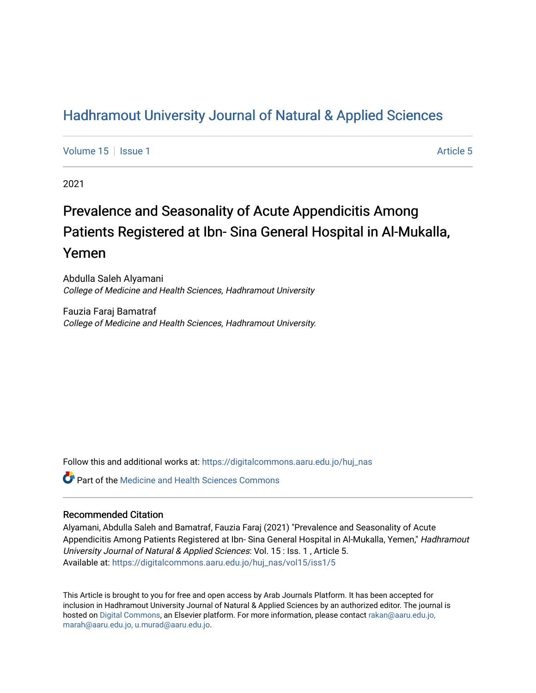## [Hadhramout University Journal of Natural & Applied Sciences](https://digitalcommons.aaru.edu.jo/huj_nas)

[Volume 15](https://digitalcommons.aaru.edu.jo/huj_nas/vol15) Setsue 1 [Article 5](https://digitalcommons.aaru.edu.jo/huj_nas/vol15/iss1/5) Article 5

2021

# Prevalence and Seasonality of Acute Appendicitis Among Patients Registered at Ibn- Sina General Hospital in Al-Mukalla, Yemen

Abdulla Saleh Alyamani College of Medicine and Health Sciences, Hadhramout University

Fauzia Faraj Bamatraf College of Medicine and Health Sciences, Hadhramout University.

Follow this and additional works at: [https://digitalcommons.aaru.edu.jo/huj\\_nas](https://digitalcommons.aaru.edu.jo/huj_nas?utm_source=digitalcommons.aaru.edu.jo%2Fhuj_nas%2Fvol15%2Fiss1%2F5&utm_medium=PDF&utm_campaign=PDFCoverPages) 

**C** Part of the Medicine and Health Sciences Commons

#### Recommended Citation

Alyamani, Abdulla Saleh and Bamatraf, Fauzia Faraj (2021) "Prevalence and Seasonality of Acute Appendicitis Among Patients Registered at Ibn- Sina General Hospital in Al-Mukalla, Yemen," Hadhramout University Journal of Natural & Applied Sciences: Vol. 15 : Iss. 1 , Article 5. Available at: [https://digitalcommons.aaru.edu.jo/huj\\_nas/vol15/iss1/5](https://digitalcommons.aaru.edu.jo/huj_nas/vol15/iss1/5?utm_source=digitalcommons.aaru.edu.jo%2Fhuj_nas%2Fvol15%2Fiss1%2F5&utm_medium=PDF&utm_campaign=PDFCoverPages)

This Article is brought to you for free and open access by Arab Journals Platform. It has been accepted for inclusion in Hadhramout University Journal of Natural & Applied Sciences by an authorized editor. The journal is hosted on [Digital Commons](https://www.elsevier.com/solutions/digital-commons), an Elsevier platform. For more information, please contact [rakan@aaru.edu.jo,](mailto:rakan@aaru.edu.jo,%20marah@aaru.edu.jo,%20u.murad@aaru.edu.jo)  [marah@aaru.edu.jo, u.murad@aaru.edu.jo.](mailto:rakan@aaru.edu.jo,%20marah@aaru.edu.jo,%20u.murad@aaru.edu.jo)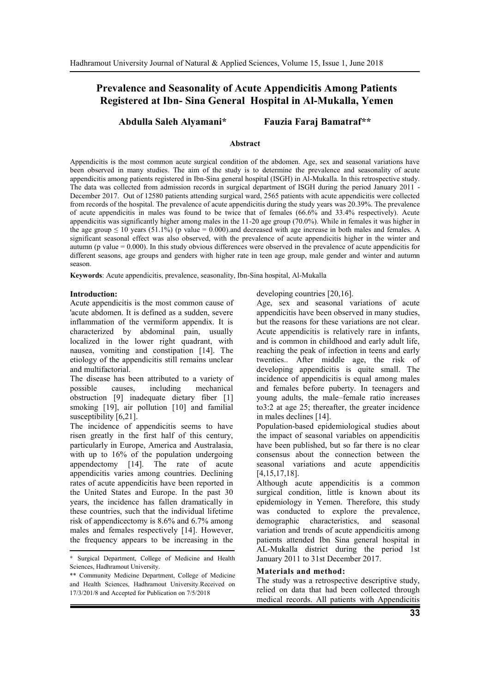### **Prevalence and Seasonality of Acute Appendicitis Among Patients Registered at Ibn- Sina General Hospital in Al-Mukalla, Yemen**

**Abdulla Saleh Alyamani\* Fauzia Faraj Bamatraf\*\***

#### **Abstract**

Appendicitis is the most common acute surgical condition of the abdomen. Age, sex and seasonal variations have been observed in many studies. The aim of the study is to determine the prevalence and seasonality of acute appendicitis among patients registered in Ibn-Sina general hospital (ISGH) in Al-Mukalla. In this retrospective study. The data was collected from admission records in surgical department of ISGH during the period January 2011 - December 2017. Out of 12580 patients attending surgical ward, 2565 patients with acute appendicitis were collected from records of the hospital. The prevalence of acute appendicitis during the study years was 20.39%. The prevalence of acute appendicitis in males was found to be twice that of females (66.6% and 33.4% respectively). Acute appendicitis was significantly higher among males in the 11-20 age group (70.0%). While in females it was higher in the age group  $\leq 10$  years (51.1%) (p value = 0.000). and decreased with age increase in both males and females. A significant seasonal effect was also observed, with the prevalence of acute appendicitis higher in the winter and autumn ( $p$  value  $= 0.000$ ). In this study obvious differences were observed in the prevalence of acute appendicitis for different seasons, age groups and genders with higher rate in teen age group, male gender and winter and autumn season.

**Keywords**: Acute appendicitis, prevalence, seasonality, Ibn-Sina hospital, Al-Mukalla

#### **Introduction:**

Acute appendicitis is the most common cause of 'acute abdomen. It is defined as a sudden, severe inflammation of the vermiform appendix. It is characterized by abdominal pain, usually localized in the lower right quadrant, with nausea, vomiting and constipation [14]. The etiology of the appendicitis still remains unclear and multifactorial.

The disease has been attributed to a variety of possible causes, including mechanical obstruction [9] inadequate dietary fiber [1] smoking [19], air pollution [10] and familial susceptibility [6,21].

The incidence of appendicitis seems to have risen greatly in the first half of this century, particularly in Europe, America and Australasia, with up to 16% of the population undergoing appendectomy [14]. The rate of acute appendicitis varies among countries. Declining rates of acute appendicitis have been reported in the United States and Europe. In the past 30 years, the incidence has fallen dramatically in these countries, such that the individual lifetime risk of appendicectomy is 8.6% and 6.7% among males and females respectively [14]. However, the frequency appears to be increasing in the developing countries [20,16].

Age, sex and seasonal variations of acute appendicitis have been observed in many studies, but the reasons for these variations are not clear. Acute appendicitis is relatively rare in infants, and is common in childhood and early adult life, reaching the peak of infection in teens and early twenties.. After middle age, the risk of developing appendicitis is quite small. The incidence of appendicitis is equal among males and females before puberty. In teenagers and young adults, the male–female ratio increases to3:2 at age 25; thereafter, the greater incidence in males declines [14].

Population-based epidemiological studies about the impact of seasonal variables on appendicitis have been published, but so far there is no clear consensus about the connection between the seasonal variations and acute appendicitis [4,15,17,18].

Although acute appendicitis is a common surgical condition, little is known about its epidemiology in Yemen. Therefore, this study was conducted to explore the prevalence, demographic characteristics, and seasonal variation and trends of acute appendicitis among patients attended Ibn Sina general hospital in AL-Mukalla district during the period 1st January 2011 to 31st December 2017.

#### **Materials and method:**

The study was a retrospective descriptive study, relied on data that had been collected through medical records. All patients with Appendicitis

<sup>\*</sup> Surgical Department, College of Medicine and Health Sciences, Hadhramout University.

<sup>\*\*</sup> Community Medicine Department, College of Medicine and Health Sciences, Hadhramout University.Received on 17/3/201/8 and Accepted for Publication on 7/5/2018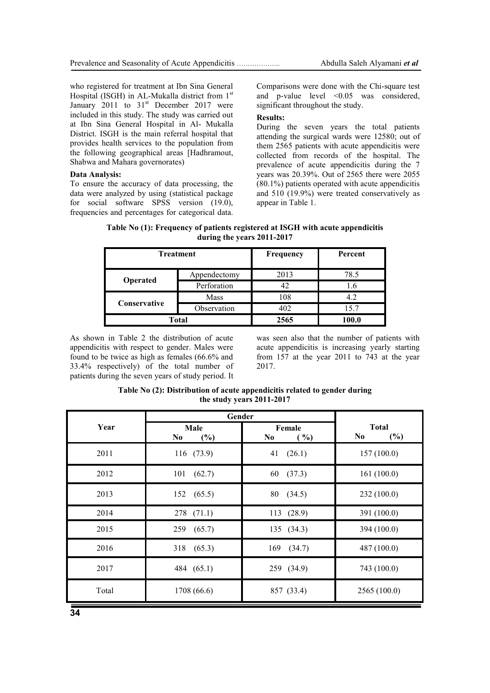who registered for treatment at Ibn Sina General Hospital (ISGH) in AL-Mukalla district from 1<sup>st</sup> January  $2011$  to  $31<sup>st</sup>$  December 2017 were included in this study. The study was carried out at Ibn Sina General Hospital in Al- Mukalla District. ISGH is the main referral hospital that provides health services to the population from the following geographical areas [Hadhramout, Shabwa and Mahara governorates)

#### **Data Analysis:**

To ensure the accuracy of data processing, the data were analyzed by using (statistical package for social software SPSS version (19.0), frequencies and percentages for categorical data. Comparisons were done with the Chi-square test and p-value level <0.05 was considered, significant throughout the study.

#### **Results:**

During the seven years the total patients attending the surgical wards were 12580; out of them 2565 patients with acute appendicitis were collected from records of the hospital. The prevalence of acute appendicitis during the 7 years was 20.39%. Out of 2565 there were 2055 (80.1%) patients operated with acute appendicitis and 510 (19.9%) were treated conservatively as appear in Table 1.

**Table No (1): Frequency of patients registered at ISGH with acute appendicitis during the years 2011-2017**

| <b>Treatment</b> |              | Frequency | Percent |  |  |
|------------------|--------------|-----------|---------|--|--|
|                  | Appendectomy | 2013      | 78.5    |  |  |
| Operated         | Perforation  | 42        | 1.6     |  |  |
| Conservative     | <b>Mass</b>  | 108       | 4.2     |  |  |
|                  | Observation  | 402       | 15.7    |  |  |
|                  | <b>Total</b> | 2565      | 100.0   |  |  |

As shown in Table 2 the distribution of acute appendicitis with respect to gender. Males were found to be twice as high as females (66.6% and 33.4% respectively) of the total number of patients during the seven years of study period. It was seen also that the number of patients with acute appendicitis is increasing yearly starting from 157 at the year 2011 to 743 at the year 2017.

**Table No (2): Distribution of acute appendicitis related to gender during the study years 2011-2017**

|       | Gender                        |                                  |                            |  |
|-------|-------------------------------|----------------------------------|----------------------------|--|
| Year  | Male<br>(%)<br>N <sub>0</sub> | Female<br>N <sub>0</sub><br>( %) | <b>Total</b><br>(%)<br>No. |  |
| 2011  | 116 (73.9)                    | 41(26.1)                         | 157(100.0)                 |  |
| 2012  | 101 (62.7)                    | 60 (37.3)                        | 161(100.0)                 |  |
| 2013  | 152 (65.5)                    | 80 (34.5)                        | 232 (100.0)                |  |
| 2014  | $278$ $(71.1)$                | 113 (28.9)                       | 391 (100.0)                |  |
| 2015  | 259 (65.7)                    | 135 (34.3)                       | 394 (100.0)                |  |
| 2016  | 318 (65.3)                    | 169<br>(34.7)                    | 487 (100.0)                |  |
| 2017  | 484 (65.1)                    | 259 (34.9)                       | 743 (100.0)                |  |
| Total | 1708 (66.6)                   | 857 (33.4)                       | 2565(100.0)                |  |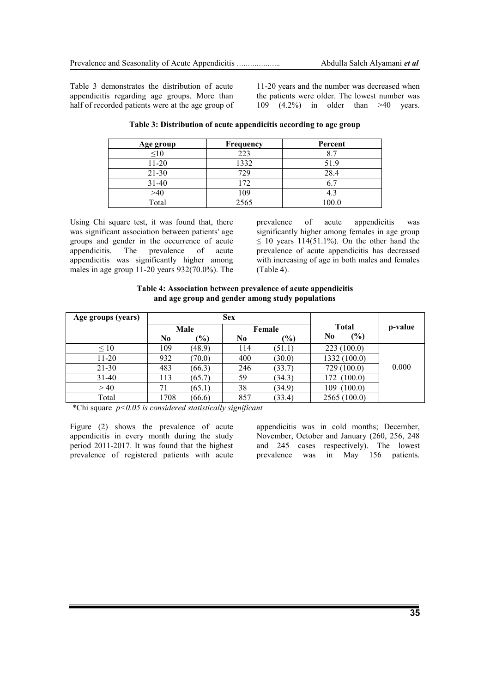Table 3 demonstrates the distribution of acute appendicitis regarding age groups. More than half of recorded patients were at the age group of 11-20 years and the number was decreased when the patients were older. The lowest number was 109 (4.2%) in older than >40 years.

| Age group | <b>Frequency</b> | Percent |  |  |  |
|-----------|------------------|---------|--|--|--|
| $\leq10$  | 223              |         |  |  |  |
| $11 - 20$ | 1332             | 51.9    |  |  |  |
| $21 - 30$ | 729              | 28.4    |  |  |  |
| $31 - 40$ | 172              |         |  |  |  |
| >40       | 109              |         |  |  |  |
| Total     | 2565             | 100.0   |  |  |  |

**Table 3: Distribution of acute appendicitis according to age group**

Using Chi square test, it was found that, there was significant association between patients' age groups and gender in the occurrence of acute appendicitis. The prevalence of acute appendicitis was significantly higher among males in age group 11-20 years 932(70.0%). The prevalence of acute appendicitis was significantly higher among females in age group  $\leq$  10 years 114(51.1%). On the other hand the prevalence of acute appendicitis has decreased with increasing of age in both males and females (Table 4).

**Table 4: Association between prevalence of acute appendicitis and age group and gender among study populations**

| Age groups (years) |      |               | <b>Sex</b>     |               |                |         |
|--------------------|------|---------------|----------------|---------------|----------------|---------|
|                    | Male |               | Female         |               | <b>Total</b>   | p-value |
|                    | No   | $\frac{1}{2}$ | N <sub>0</sub> | $\frac{9}{0}$ | (%)<br>N0      |         |
| $\leq 10$          | 109  | (48.9)        | 114            | (51.1)        | 223(100.0)     |         |
| $11 - 20$          | 932  | (70.0)        | 400            | (30.0)        | 1332 (100.0)   |         |
| 21-30              | 483  | (66.3)        | 246            | (33.7)        | 729 (100.0)    | 0.000   |
| $31-40$            | 113  | (65.7)        | 59             | (34.3)        | (100.0)<br>172 |         |
| >40                | 71   | (65.1)        | 38             | (34.9)        | (100.0)<br>109 |         |
| Total              | 1708 | (66.6)        | 857            | (33.4)        | 2565(100.0)    |         |

\*Chi square *p<0.05 is considered statistically significant*

Figure (2) shows the prevalence of acute appendicitis in every month during the study period 2011-2017. It was found that the highest prevalence of registered patients with acute

appendicitis was in cold months; December, November, October and January (260, 256, 248 and 245 cases respectively). The lowest prevalence was in May 156 patients.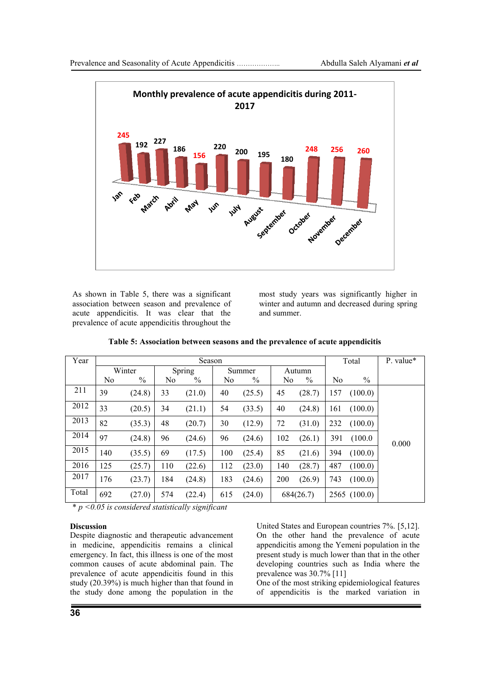

As shown in Table 5, there was a significant association between season and prevalence of acute appendicitis. It was clear that the prevalence of acute appendicitis throughout the

most study years was significantly higher in winter and autumn and decreased during spring and summer.

| Year  | Season         |               |                |               |                |               |                | Total     |                | P. value*     |       |
|-------|----------------|---------------|----------------|---------------|----------------|---------------|----------------|-----------|----------------|---------------|-------|
|       |                | Winter        |                | Spring        | Summer         |               | Autumn         |           |                |               |       |
|       | N <sub>0</sub> | $\frac{0}{0}$ | N <sub>0</sub> | $\frac{0}{0}$ | N <sub>0</sub> | $\frac{0}{0}$ | N <sub>0</sub> | $\%$      | N <sub>0</sub> | $\frac{0}{0}$ |       |
| 211   | 39             | (24.8)        | 33             | (21.0)        | 40             | (25.5)        | 45             | (28.7)    | 157            | (100.0)       |       |
| 2012  | 33             | (20.5)        | 34             | (21.1)        | 54             | (33.5)        | 40             | (24.8)    | 161            | (100.0)       |       |
| 2013  | 82             | (35.3)        | 48             | (20.7)        | 30             | (12.9)        | 72             | (31.0)    | 232            | (100.0)       |       |
| 2014  | 97             | (24.8)        | 96             | (24.6)        | 96             | (24.6)        | 102            | (26.1)    | 391            | (100.0)       | 0.000 |
| 2015  | 140            | (35.5)        | 69             | (17.5)        | 100            | (25.4)        | 85             | (21.6)    | 394            | (100.0)       |       |
| 2016  | 125            | (25.7)        | 110            | (22.6)        | 112            | (23.0)        | 140            | (28.7)    | 487            | (100.0)       |       |
| 2017  | 176            | (23.7)        | 184            | (24.8)        | 183            | (24.6)        | 200            | (26.9)    | 743            | (100.0)       |       |
| Total | 692            | (27.0)        | 574            | (22.4)        | 615            | (24.0)        |                | 684(26.7) |                | 2565(100.0)   |       |

**Table 5: Association between seasons and the prevalence of acute appendicitis**

\* *p <0.05 is considered statistically significant*

#### **Discussion**

Despite diagnostic and therapeutic advancement in medicine, appendicitis remains a clinical emergency. In fact, this illness is one of the most common causes of acute abdominal pain. The prevalence of acute appendicitis found in this study (20.39%) is much higher than that found in the study done among the population in the

United States and European countries 7%. [5,12]. On the other hand the prevalence of acute appendicitis among the Yemeni population in the present study is much lower than that in the other developing countries such as India where the prevalence was 30.7% [11]

One of the most striking epidemiological features of appendicitis is the marked variation in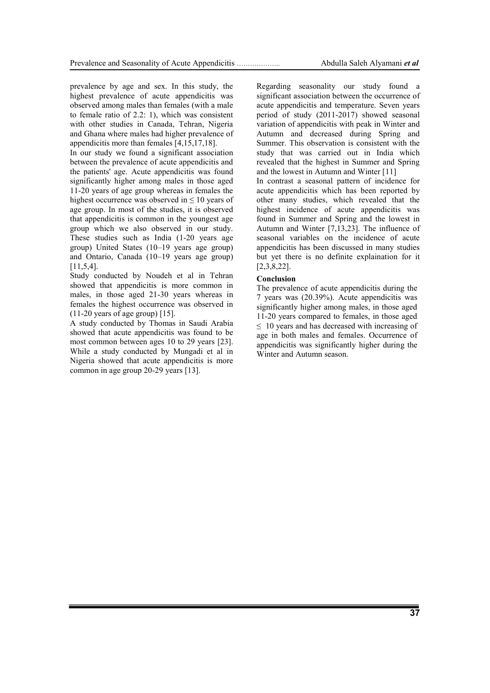prevalence by age and sex. In this study, the highest prevalence of acute appendicitis was observed among males than females (with a male to female ratio of 2.2: 1), which was consistent with other studies in Canada, Tehran, Nigeria and Ghana where males had higher prevalence of appendicitis more than females [4,15,17,18].

In our study we found a significant association between the prevalence of acute appendicitis and the patients' age. Acute appendicitis was found significantly higher among males in those aged 11-20 years of age group whereas in females the highest occurrence was observed in  $\leq 10$  years of age group. In most of the studies, it is observed that appendicitis is common in the youngest age group which we also observed in our study. These studies such as India (1-20 years age group) United States (10–19 years age group) and Ontario, Canada (10–19 years age group) [11,5,4].

Study conducted by Noudeh et al in Tehran showed that appendicitis is more common in males, in those aged 21-30 years whereas in females the highest occurrence was observed in  $(11-20$  years of age group) [15].

A study conducted by Thomas in Saudi Arabia showed that acute appendicitis was found to be most common between ages 10 to 29 years [23]. While a study conducted by Mungadi et al in Nigeria showed that acute appendicitis is more common in age group 20-29 years [13].

Regarding seasonality our study found a significant association between the occurrence of acute appendicitis and temperature. Seven years period of study (2011-2017) showed seasonal variation of appendicitis with peak in Winter and Autumn and decreased during Spring and Summer. This observation is consistent with the study that was carried out in India which revealed that the highest in Summer and Spring and the lowest in Autumn and Winter [11]

In contrast a seasonal pattern of incidence for acute appendicitis which has been reported by other many studies, which revealed that the highest incidence of acute appendicitis was found in Summer and Spring and the lowest in Autumn and Winter [7,13,23]. The influence of seasonal variables on the incidence of acute appendicitis has been discussed in many studies but yet there is no definite explaination for it [2,3,8,22].

#### **Conclusion**

The prevalence of acute appendicitis during the 7 years was (20.39%). Acute appendicitis was significantly higher among males, in those aged 11-20 years compared to females, in those aged  $\leq$  10 years and has decreased with increasing of age in both males and females. Occurrence of appendicitis was significantly higher during the Winter and Autumn season.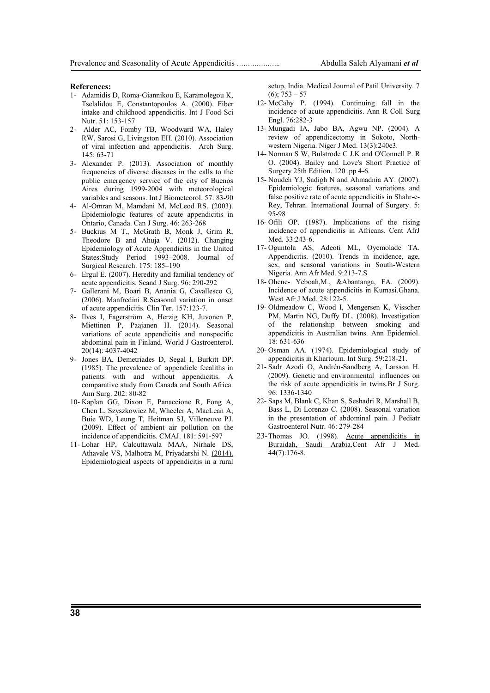#### **References:**

- 1- Adamidis D, Roma-Giannikou E, Karamolegou K, Tselalidou E, Constantopoulos A. (2000). Fiber intake and childhood appendicitis. Int J Food Sci Nutr. 51: 153-157
- 2- Alder AC, Fomby TB, Woodward WA, Haley RW, Sarosi G, Livingston EH. (2010). Association of viral infection and appendicitis. Arch Surg. 145: 63-71
- 3- Alexander P. (2013). Association of monthly frequencies of diverse diseases in the calls to the public emergency service of the city of Buenos Aires during 1999-2004 with meteorological variables and seasons. Int J Biometeorol. 57: 83-90
- 4- Al-Omran M, Mamdani M, McLeod RS. (2003). Epidemiologic features of acute appendicitis in Ontario, Canada. Can J Surg. 46: 263-268
- 5- Buckius M T., McGrath B, Monk J, Grim R, Theodore B and Ahuja V. (2012). Changing Epidemiology of Acute Appendicitis in the United States:Study Period 1993–2008. Journal of Surgical Research. 175: 185–190
- 6- Ergul E. (2007). Heredity and familial tendency of acute appendicitis. Scand J Surg. 96: 290-292
- 7- Gallerani M, Boari B, Anania G, Cavallesco G, (2006). Manfredini R.Seasonal variation in onset of acute appendicitis. Clin Ter. 157:123-7.
- 8- Ilves I, Fagerström A, Herzig KH, Juvonen P, Miettinen P, Paajanen H. (2014). Seasonal variations of acute appendicitis and nonspecific abdominal pain in Finland. World J Gastroenterol. 20(14): 4037-4042
- 9- Jones BA, Demetriades D, Segal I, Burkitt DP. (1985). The prevalence of appendicle fecaliths in patients with and without appendicitis. A comparative study from Canada and South Africa. Ann Surg. 202: 80-82
- 10- Kaplan GG, Dixon E, Panaccione R, Fong A, Chen L, Szyszkowicz M, Wheeler A, MacLean A, Buie WD, Leung T, Heitman SJ, Villeneuve PJ. (2009). Effect of ambient air pollution on the incidence of appendicitis. CMAJ. 181: 591-597
- 11- Lohar HP, Calcuttawala MAA, Nirhale DS, Athavale VS, Malhotra M, Priyadarshi N. (2014). Epidemiological aspects of appendicitis in a rural

setup, India. Medical Journal of Patil University. 7 (6); 753 – 57

- 12- McCahy P. (1994). Continuing fall in the incidence of acute appendicitis. Ann R Coll Surg Engl. 76:282-3
- 13- Mungadi IA, Jabo BA, Agwu NP. (2004). A review of appendicectomy in Sokoto, Northwestern Nigeria. Niger J Med. 13(3):240e3.
- 14- Norman S W, Bulstrode C J.K and O'Connell P. R O. (2004). Bailey and Love's Short Practice of Surgery 25th Edition. 120 pp 4-6.
- 15- Noudeh YJ, Sadigh N and Ahmadnia AY. (2007). Epidemiologic features, seasonal variations and false positive rate of acute appendicitis in Shahr-e-Rey, Tehran. International Journal of Surgery. 5: 95-98
- 16- Ofili OP. (1987). Implications of the rising incidence of appendicitis in Africans. Cent AfrJ Med. 33:243-6.
- 17- Oguntola AS, Adeoti ML, Oyemolade TA. Appendicitis. (2010). Trends in incidence, age, sex, and seasonal variations in South-Western Nigeria. Ann Afr Med. 9:213-7.S
- 18- Ohene- Yeboah,M., &Abantanga, FA. (2009). Incidence of acute appendicitis in Kumasi.Ghana. West Afr J Med. 28:122-5.
- 19- Oldmeadow C, Wood I, Mengersen K, Visscher PM, Martin NG, Duffy DL. (2008). Investigation of the relationship between smoking and appendicitis in Australian twins. Ann Epidemiol. 18: 631-636
- 20- Osman AA. (1974). Epidemiological study of appendicitis in Khartoum. Int Surg. 59:218-21.
- 21- Sadr Azodi O, Andrén-Sandberg A, Larsson H. (2009). Genetic and environmental influences on the risk of acute appendicitis in twins.Br J Surg. 96: 1336-1340
- 22- Saps M, Blank C, Khan S, Seshadri R, Marshall B, Bass L, Di Lorenzo C. (2008). Seasonal variation in the presentation of abdominal pain. J Pediatr Gastroenterol Nutr. 46: 279-284
- 23-Thomas JO. (1998). Acute appendicitis in [Buraidah, Saudi Arabia.C](https://www.ncbi.nlm.nih.gov/pubmed/10028192)ent Afr J Med. 44(7):176-8.